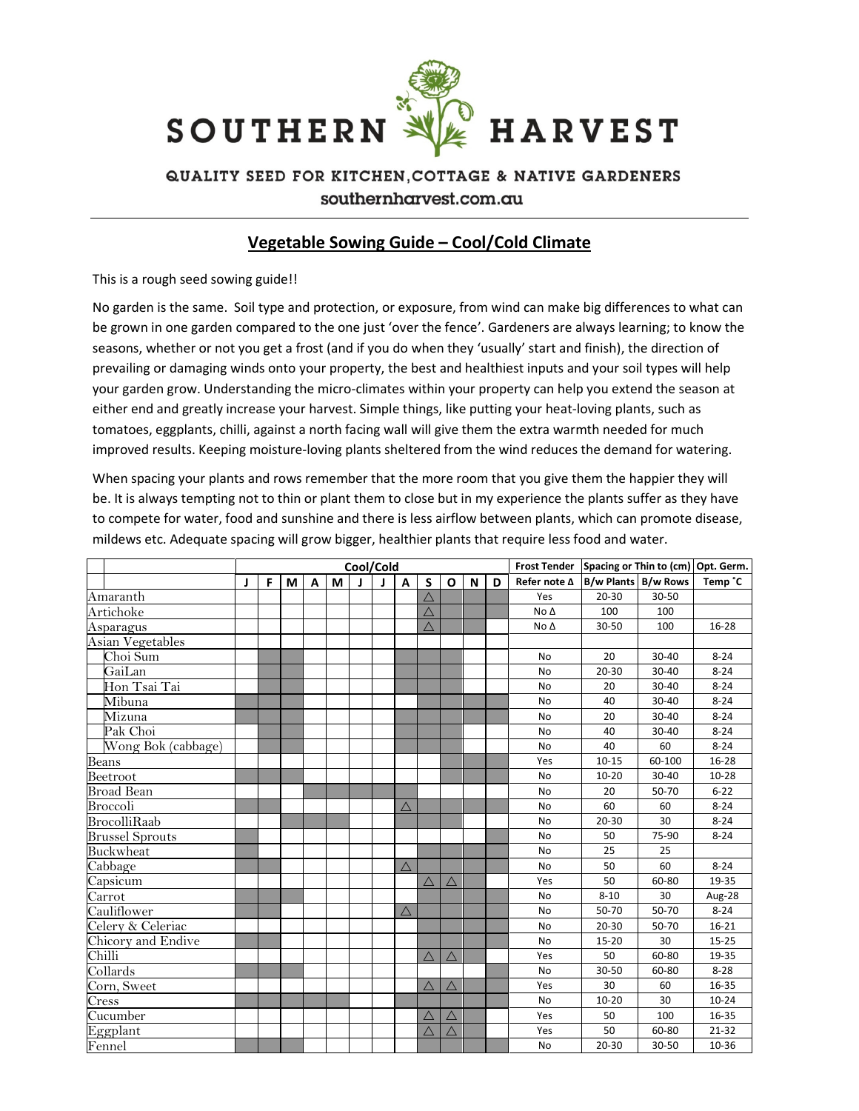

## QUALITY SEED FOR KITCHEN, COTTAGE & NATIVE GARDENERS southernharvest.com.au

## Vegetable Sowing Guide – Cool/Cold Climate

This is a rough seed sowing guide!!

No garden is the same. Soil type and protection, or exposure, from wind can make big differences to what can be grown in one garden compared to the one just 'over the fence'. Gardeners are always learning; to know the seasons, whether or not you get a frost (and if you do when they 'usually' start and finish), the direction of prevailing or damaging winds onto your property, the best and healthiest inputs and your soil types will help your garden grow. Understanding the micro-climates within your property can help you extend the season at either end and greatly increase your harvest. Simple things, like putting your heat-loving plants, such as tomatoes, eggplants, chilli, against a north facing wall will give them the extra warmth needed for much improved results. Keeping moisture-loving plants sheltered from the wind reduces the demand for watering.

When spacing your plants and rows remember that the more room that you give them the happier they will be. It is always tempting not to thin or plant them to close but in my experience the plants suffer as they have to compete for water, food and sunshine and there is less airflow between plants, which can promote disease, mildews etc. Adequate spacing will grow bigger, healthier plants that require less food and water.

|                        | Cool/Cold |   |   |              |   |  |              |             |             |             |   |   |                | Frost Tender Spacing or Thin to (cm) Opt. Germ. |        |           |
|------------------------|-----------|---|---|--------------|---|--|--------------|-------------|-------------|-------------|---|---|----------------|-------------------------------------------------|--------|-----------|
|                        | J.        | F | М | $\mathsf{A}$ | M |  | $\mathbf{I}$ | A           | S           | O           | N | D | Refer note ∆   | <b>B/w Plants B/w Rows</b>                      |        | Temp °C   |
| Amaranth               |           |   |   |              |   |  |              |             | $\triangle$ |             |   |   | Yes            | $20 - 30$                                       | 30-50  |           |
| Artichoke              |           |   |   |              |   |  |              |             | $\triangle$ |             |   |   | $No \triangle$ | 100                                             | 100    |           |
| Asparagus              |           |   |   |              |   |  |              |             | $\triangle$ |             |   |   | $No \Delta$    | 30-50                                           | 100    | 16-28     |
| Asian Vegetables       |           |   |   |              |   |  |              |             |             |             |   |   |                |                                                 |        |           |
| Choi Sum               |           |   |   |              |   |  |              |             |             |             |   |   | <b>No</b>      | 20                                              | 30-40  | $8 - 24$  |
| GaiLan                 |           |   |   |              |   |  |              |             |             |             |   |   | <b>No</b>      | 20-30                                           | 30-40  | $8 - 24$  |
| Hon Tsai Tai           |           |   |   |              |   |  |              |             |             |             |   |   | <b>No</b>      | 20                                              | 30-40  | $8 - 24$  |
| Mibuna                 |           |   |   |              |   |  |              |             |             |             |   |   | <b>No</b>      | 40                                              | 30-40  | $8 - 24$  |
| Mizuna                 |           |   |   |              |   |  |              |             |             |             |   |   | No             | 20                                              | 30-40  | $8 - 24$  |
| Pak Choi               |           |   |   |              |   |  |              |             |             |             |   |   | No             | 40                                              | 30-40  | $8 - 24$  |
| Wong Bok (cabbage)     |           |   |   |              |   |  |              |             |             |             |   |   | No             | 40                                              | 60     | $8 - 24$  |
| Beans                  |           |   |   |              |   |  |              |             |             |             |   |   | Yes            | $10 - 15$                                       | 60-100 | 16-28     |
| Beetroot               |           |   |   |              |   |  |              |             |             |             |   |   | No             | $10 - 20$                                       | 30-40  | $10 - 28$ |
| <b>Broad Bean</b>      |           |   |   |              |   |  |              |             |             |             |   |   | <b>No</b>      | 20                                              | 50-70  | $6 - 22$  |
| Broccoli               |           |   |   |              |   |  |              | $\triangle$ |             |             |   |   | No             | 60                                              | 60     | $8 - 24$  |
| <b>BrocolliRaab</b>    |           |   |   |              |   |  |              |             |             |             |   |   | <b>No</b>      | $20 - 30$                                       | 30     | $8 - 24$  |
| <b>Brussel Sprouts</b> |           |   |   |              |   |  |              |             |             |             |   |   | <b>No</b>      | 50                                              | 75-90  | $8 - 24$  |
| Buckwheat              |           |   |   |              |   |  |              |             |             |             |   |   | No             | 25                                              | 25     |           |
| Cabbage                |           |   |   |              |   |  |              | $\triangle$ |             |             |   |   | <b>No</b>      | 50                                              | 60     | $8 - 24$  |
| Capsicum               |           |   |   |              |   |  |              |             | $\triangle$ | $\triangle$ |   |   | Yes            | 50                                              | 60-80  | 19-35     |
| Carrot                 |           |   |   |              |   |  |              |             |             |             |   |   | <b>No</b>      | $8 - 10$                                        | 30     | Aug-28    |
| Cauliflower            |           |   |   |              |   |  |              | $\triangle$ |             |             |   |   | No             | 50-70                                           | 50-70  | $8 - 24$  |
| Celery & Celeriac      |           |   |   |              |   |  |              |             |             |             |   |   | <b>No</b>      | $20 - 30$                                       | 50-70  | $16 - 21$ |
| Chicory and Endive     |           |   |   |              |   |  |              |             |             |             |   |   | <b>No</b>      | $15 - 20$                                       | 30     | $15 - 25$ |
| Chilli                 |           |   |   |              |   |  |              |             | $\triangle$ | $\triangle$ |   |   | Yes            | 50                                              | 60-80  | 19-35     |
| Collards               |           |   |   |              |   |  |              |             |             |             |   |   | No             | 30-50                                           | 60-80  | $8 - 28$  |
| Corn, Sweet            |           |   |   |              |   |  |              |             | $\triangle$ | $\triangle$ |   |   | Yes            | 30                                              | 60     | 16-35     |
| $\mathrm{Cress}$       |           |   |   |              |   |  |              |             |             |             |   |   | No             | $10 - 20$                                       | 30     | $10 - 24$ |
| Cucumber               |           |   |   |              |   |  |              |             | $\triangle$ | $\triangle$ |   |   | Yes            | 50                                              | 100    | 16-35     |
| Eggplant               |           |   |   |              |   |  |              |             | $\triangle$ | $\triangle$ |   |   | Yes            | 50                                              | 60-80  | 21-32     |
| Fennel                 |           |   |   |              |   |  |              |             |             |             |   |   | No             | 20-30                                           | 30-50  | 10-36     |